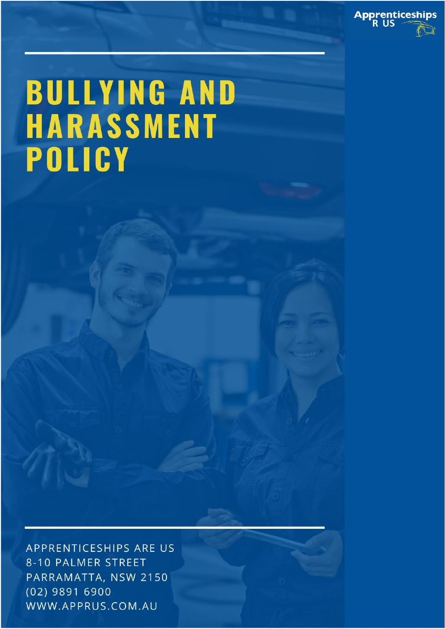

# **BULLYING AND** HARASSMENT POLICY

APPRENTICESHIPS ARE US 8-10 PALMER STREET PARRAMATTA, NSW 2150  $(02)$  9891 6900 WWW.APPRUS.COM.AU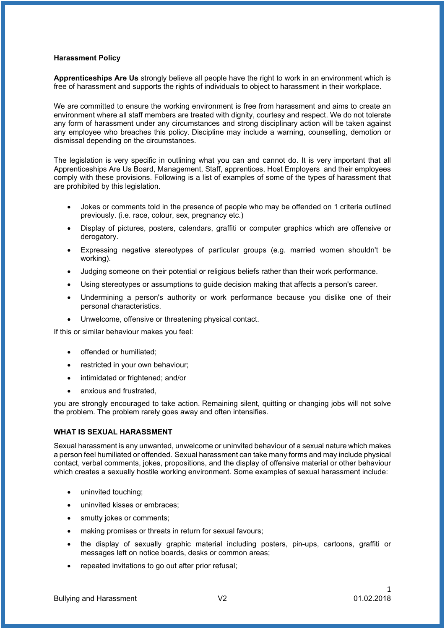#### **Harassment Policy**

**Apprenticeships Are Us** strongly believe all people have the right to work in an environment which is free of harassment and supports the rights of individuals to object to harassment in their workplace.

We are committed to ensure the working environment is free from harassment and aims to create an environment where all staff members are treated with dignity, courtesy and respect. We do not tolerate any form of harassment under any circumstances and strong disciplinary action will be taken against any employee who breaches this policy. Discipline may include a warning, counselling, demotion or dismissal depending on the circumstances.

The legislation is very specific in outlining what you can and cannot do. It is very important that all Apprenticeships Are Us Board, Management, Staff, apprentices, Host Employers and their employees comply with these provisions. Following is a list of examples of some of the types of harassment that are prohibited by this legislation.

- Jokes or comments told in the presence of people who may be offended on 1 criteria outlined previously. (i.e. race, colour, sex, pregnancy etc.)
- Display of pictures, posters, calendars, graffiti or computer graphics which are offensive or derogatory.
- Expressing negative stereotypes of particular groups (e.g. married women shouldn't be working).
- Judging someone on their potential or religious beliefs rather than their work performance.
- Using stereotypes or assumptions to guide decision making that affects a person's career.
- Undermining a person's authority or work performance because you dislike one of their personal characteristics.
- Unwelcome, offensive or threatening physical contact.

If this or similar behaviour makes you feel:

- offended or humiliated;
- restricted in your own behaviour:
- intimidated or frightened; and/or
- anxious and frustrated.

you are strongly encouraged to take action. Remaining silent, quitting or changing jobs will not solve the problem. The problem rarely goes away and often intensifies.

### **WHAT IS SEXUAL HARASSMENT**

Sexual harassment is any unwanted, unwelcome or uninvited behaviour of a sexual nature which makes a person feel humiliated or offended. Sexual harassment can take many forms and may include physical contact, verbal comments, jokes, propositions, and the display of offensive material or other behaviour which creates a sexually hostile working environment. Some examples of sexual harassment include:

- uninvited touching;
- uninvited kisses or embraces:
- smutty jokes or comments;
- making promises or threats in return for sexual favours;
- the display of sexually graphic material including posters, pin-ups, cartoons, graffiti or messages left on notice boards, desks or common areas;
- repeated invitations to go out after prior refusal;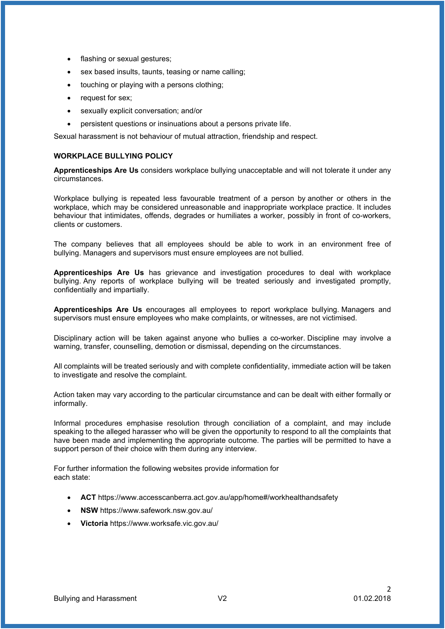- flashing or sexual gestures;
- sex based insults, taunts, teasing or name calling;
- touching or playing with a persons clothing;
- request for sex;
- sexually explicit conversation; and/or
- persistent questions or insinuations about a persons private life.

Sexual harassment is not behaviour of mutual attraction, friendship and respect.

# **WORKPLACE BULLYING POLICY**

**Apprenticeships Are Us** considers workplace bullying unacceptable and will not tolerate it under any circumstances.

Workplace bullying is repeated less favourable treatment of a person by another or others in the workplace, which may be considered unreasonable and inappropriate workplace practice. It includes behaviour that intimidates, offends, degrades or humiliates a worker, possibly in front of co-workers, clients or customers.

The company believes that all employees should be able to work in an environment free of bullying. Managers and supervisors must ensure employees are not bullied.

**Apprenticeships Are Us** has grievance and investigation procedures to deal with workplace bullying. Any reports of workplace bullying will be treated seriously and investigated promptly, confidentially and impartially.

**Apprenticeships Are Us** encourages all employees to report workplace bullying. Managers and supervisors must ensure employees who make complaints, or witnesses, are not victimised.

Disciplinary action will be taken against anyone who bullies a co-worker. Discipline may involve a warning, transfer, counselling, demotion or dismissal, depending on the circumstances.

All complaints will be treated seriously and with complete confidentiality, immediate action will be taken to investigate and resolve the complaint.

Action taken may vary according to the particular circumstance and can be dealt with either formally or informally.

Informal procedures emphasise resolution through conciliation of a complaint, and may include speaking to the alleged harasser who will be given the opportunity to respond to all the complaints that have been made and implementing the appropriate outcome. The parties will be permitted to have a support person of their choice with them during any interview.

For further information the following websites provide information for each state:

- **ACT** <https://www.accesscanberra.act.gov.au/app/home#/workhealthandsafety>
- **NSW** <https://www.safework.nsw.gov.au/>
- **Victoria** <https://www.worksafe.vic.gov.au/>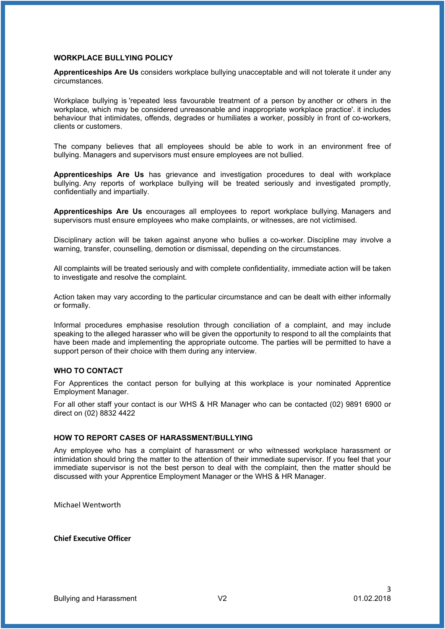#### **WORKPLACE BULLYING POLICY**

**Apprenticeships Are Us** considers workplace bullying unacceptable and will not tolerate it under any circumstances.

Workplace bullying is 'repeated less favourable treatment of a person by another or others in the workplace, which may be considered unreasonable and inappropriate workplace practice'. it includes behaviour that intimidates, offends, degrades or humiliates a worker, possibly in front of co-workers, clients or customers.

The company believes that all employees should be able to work in an environment free of bullying. Managers and supervisors must ensure employees are not bullied.

**Apprenticeships Are Us** has grievance and investigation procedures to deal with workplace bullying. Any reports of workplace bullying will be treated seriously and investigated promptly, confidentially and impartially.

**Apprenticeships Are Us** encourages all employees to report workplace bullying. Managers and supervisors must ensure employees who make complaints, or witnesses, are not victimised.

Disciplinary action will be taken against anyone who bullies a co-worker. Discipline may involve a warning, transfer, counselling, demotion or dismissal, depending on the circumstances.

All complaints will be treated seriously and with complete confidentiality, immediate action will be taken to investigate and resolve the complaint.

Action taken may vary according to the particular circumstance and can be dealt with either informally or formally.

Informal procedures emphasise resolution through conciliation of a complaint, and may include speaking to the alleged harasser who will be given the opportunity to respond to all the complaints that have been made and implementing the appropriate outcome. The parties will be permitted to have a support person of their choice with them during any interview.

#### **WHO TO CONTACT**

For Apprentices the contact person for bullying at this workplace is your nominated Apprentice Employment Manager.

For all other staff your contact is our WHS & HR Manager who can be contacted (02) 9891 6900 or direct on (02) 8832 4422

## **HOW TO REPORT CASES OF HARASSMENT/BULLYING**

Any employee who has a complaint of harassment or who witnessed workplace harassment or intimidation should bring the matter to the attention of their immediate supervisor. If you feel that your immediate supervisor is not the best person to deal with the complaint, then the matter should be discussed with your Apprentice Employment Manager or the WHS & HR Manager.

Michael Wentworth

**Chief Executive Officer**